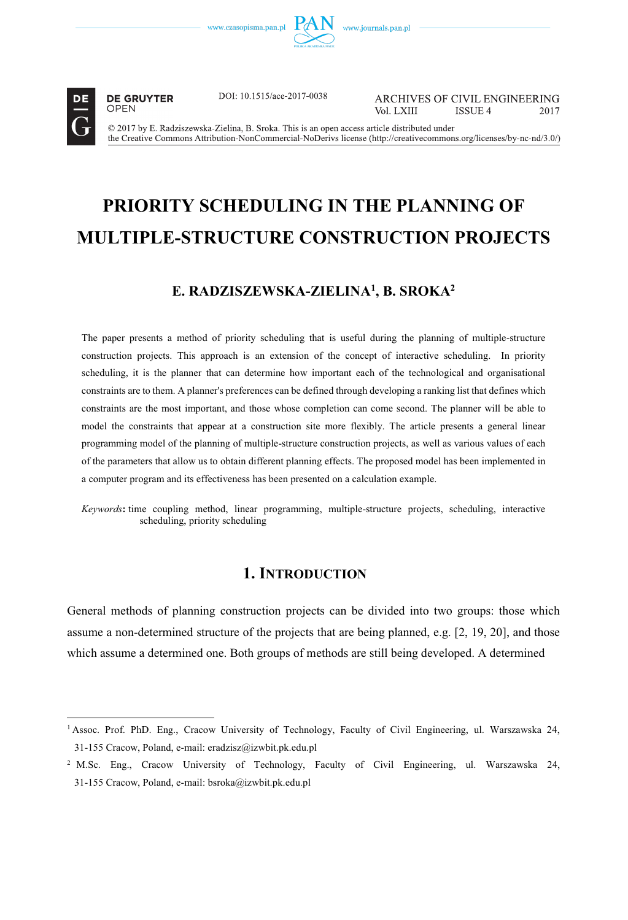

**DE GRUYTER** OPEN

DOI: 10.1515/ace-2017-0038

ARCHIVES OF CIVIL ENGINEERING Vol LXIII **ISSUE 4** 2017

© 2017 by E. Radziszewska-Zielina, B. Sroka. This is an open access article distributed under the Creative Commons Attribution-NonCommercial-NoDerivs license (http://creativecommons.org/licenses/by-nc-nd/3.0/)

# **PRIORITY SCHEDULING IN THE PLANNING OF MULTIPLE-STRUCTURE CONSTRUCTION PROJECTS**

## **E. RADZISZEWSKA-ZIELINA1 , B. SROKA2**

The paper presents a method of priority scheduling that is useful during the planning of multiple-structure construction projects. This approach is an extension of the concept of interactive scheduling. In priority scheduling, it is the planner that can determine how important each of the technological and organisational constraints are to them. A planner's preferences can be defined through developing a ranking list that defines which constraints are the most important, and those whose completion can come second. The planner will be able to model the constraints that appear at a construction site more flexibly. The article presents a general linear programming model of the planning of multiple-structure construction projects, as well as various values of each of the parameters that allow us to obtain different planning effects. The proposed model has been implemented in a computer program and its effectiveness has been presented on a calculation example.

*Keywords***:** time coupling method, linear programming, multiple-structure projects, scheduling, interactive scheduling, priority scheduling

## **1. INTRODUCTION**

General methods of planning construction projects can be divided into two groups: those which assume a non-determined structure of the projects that are being planned, e.g. [2, 19, 20], and those which assume a determined one. Both groups of methods are still being developed. A determined

<sup>1</sup> Assoc. Prof. PhD. Eng., Cracow University of Technology, Faculty of Civil Engineering, ul. Warszawska 24, 31-155 Cracow, Poland, e-mail: eradzisz@izwbit.pk.edu.pl

<sup>2</sup> M.Sc. Eng., Cracow University of Technology, Faculty of Civil Engineering, ul. Warszawska 24, 31-155 Cracow, Poland, e-mail: bsroka@izwbit.pk.edu.pl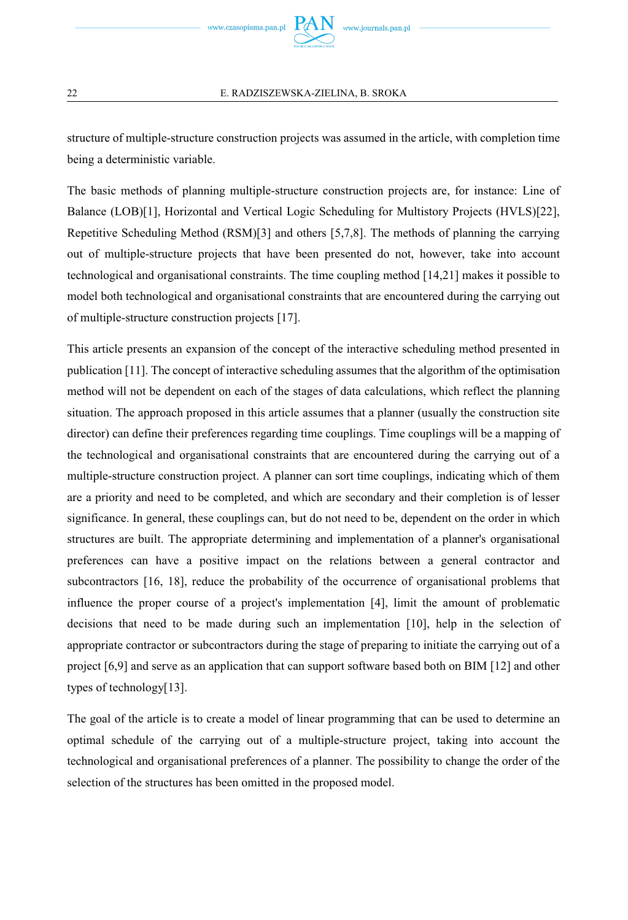

structure of multiple-structure construction projects was assumed in the article, with completion time being a deterministic variable.

The basic methods of planning multiple-structure construction projects are, for instance: Line of Balance (LOB)[1], Horizontal and Vertical Logic Scheduling for Multistory Projects (HVLS)[22], Repetitive Scheduling Method (RSM)[3] and others [5,7,8]. The methods of planning the carrying out of multiple-structure projects that have been presented do not, however, take into account technological and organisational constraints. The time coupling method [14,21] makes it possible to model both technological and organisational constraints that are encountered during the carrying out of multiple-structure construction projects [17].

This article presents an expansion of the concept of the interactive scheduling method presented in publication [11]. The concept of interactive scheduling assumes that the algorithm of the optimisation method will not be dependent on each of the stages of data calculations, which reflect the planning situation. The approach proposed in this article assumes that a planner (usually the construction site director) can define their preferences regarding time couplings. Time couplings will be a mapping of the technological and organisational constraints that are encountered during the carrying out of a multiple-structure construction project. A planner can sort time couplings, indicating which of them are a priority and need to be completed, and which are secondary and their completion is of lesser significance. In general, these couplings can, but do not need to be, dependent on the order in which structures are built. The appropriate determining and implementation of a planner's organisational preferences can have a positive impact on the relations between a general contractor and subcontractors [16, 18], reduce the probability of the occurrence of organisational problems that influence the proper course of a project's implementation [4], limit the amount of problematic decisions that need to be made during such an implementation [10], help in the selection of appropriate contractor or subcontractors during the stage of preparing to initiate the carrying out of a project [6,9] and serve as an application that can support software based both on BIM [12] and other types of technology[13].

The goal of the article is to create a model of linear programming that can be used to determine an optimal schedule of the carrying out of a multiple-structure project, taking into account the technological and organisational preferences of a planner. The possibility to change the order of the selection of the structures has been omitted in the proposed model.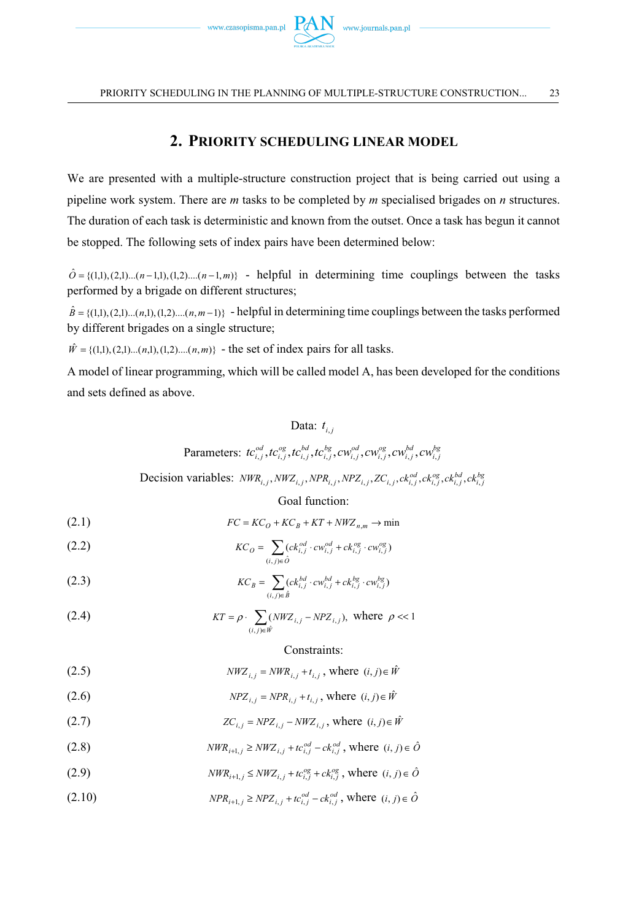

## **2. PRIORITY SCHEDULING LINEAR MODEL**

We are presented with a multiple-structure construction project that is being carried out using a pipeline work system. There are *m* tasks to be completed by *m* specialised brigades on *n* structures. The duration of each task is deterministic and known from the outset. Once a task has begun it cannot be stopped. The following sets of index pairs have been determined below:

 $\hat{O} = \{(1,1), (2,1)...(n-1,1), (1,2)...(n-1,m)\}$  - helpful in determining time couplings between the tasks performed by a brigade on different structures;

 $\hat{B} = \{(1,1), (2,1), \ldots (n,1), (1,2), \ldots (n, m-1)\}$  - helpful in determining time couplings between the tasks performed by different brigades on a single structure;

 $\hat{W} = \{(1,1), (2,1), \ldots (n,1), (1,2), \ldots (n,m)\}$  - the set of index pairs for all tasks.

A model of linear programming, which will be called model A, has been developed for the conditions and sets defined as above.

## Data:  $t_{i}$

Parameters: 
$$
tc_{i,j}^{od}, tc_{i,j}^{og}, tc_{i,j}^{bd}, tc_{i,j}^{bg}, cw_{i,j}^{od}, cw_{i,j}^{og}, cw_{i,j}^{bd}, cw_{i,j}^{bg}
$$

Decision variables:  $NWR_{i,j}$ ,  $NWZ_{i,j}$ ,  $NPR_{i,j}$ ,  $NPR_{i,j}$ ,  $ZC_{i,j}$ ,  $ck_{i,j}^{od}$ ,  $ck_{i,j}^{eg}$ ,  $ck_{i,j}^{bd}$ ,  $ck_{i,j}^{bg}$ 

Goal function:

$$
(2.1) \tFC = KC_O + KC_B + KT + NWZ_{n,m} \to \min
$$

(2.2) 
$$
KC_{0} = \sum_{(i,j) \in \hat{O}} (ck_{i,j}^{od} \cdot cw_{i,j}^{od} + ck_{i,j}^{og} \cdot cw_{i,j}^{og})
$$

(2.3) 
$$
KC_B = \sum_{(i,j) \in \hat{B}} (ck_{i,j}^{bd} \cdot cw_{i,j}^{bd} + ck_{i,j}^{bg} \cdot cw_{i,j}^{bg})
$$

(2.4) 
$$
KT = \rho \cdot \sum_{(i,j) \in \hat{W}} (NWZ_{i,j} - NPZ_{i,j}), \text{ where } \rho \ll 1
$$

## Constraints:

$$
(2.5) \t\t\t\tNWZ_{i,j} = NWR_{i,j} + t_{i,j}, \text{ where } (i,j) \in \hat{W}
$$

$$
(2.6) \t\t NPZ_{i,j} = NPR_{i,j} + t_{i,j}, \text{ where } (i,j) \in \hat{W}
$$

(2.7) 
$$
ZC_{i,j} = NPZ_{i,j} - NWZ_{i,j}, \text{ where } (i,j) \in \hat{W}
$$

(2.8) 
$$
NWR_{i+1,j} \geq NWZ_{i,j} + t c_{i,j}^{od} - c k_{i,j}^{od}, \text{ where } (i, j) \in \hat{O}
$$

(2.9) 
$$
NWR_{i+1,j} \leq NWZ_{i,j} + tc_{i,j}^{og} + ck_{i,j}^{og}, \text{ where } (i,j) \in \hat{O}
$$

(2.10) 
$$
NPR_{i+1,j} \geq NPZ_{i,j} + tc_{i,j}^{od} - ck_{i,j}^{od}, \text{ where } (i,j) \in \hat{O}
$$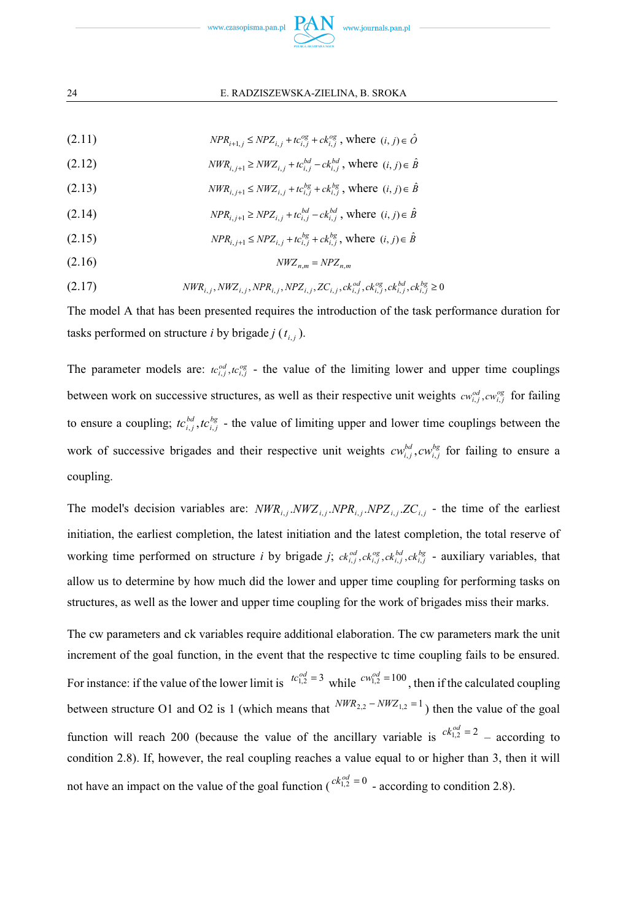

## 24 E. RADZISZEWSKA-ZIELINA, B. SROKA

 $NPR_{i+1,j} \leq NPZ_{i,j} + tc_{i,j}^{og} + ck_{i,j}^{og}$ , where  $(i, j) \in \hat{O}$ 

(2.12) 
$$
NWR_{i,j+1} \geq NWZ_{i,j} + tc_{i,j}^{bd} - ck_{i,j}^{bd}, \text{ where } (i,j) \in \hat{B}
$$

- $\hat{B}$  *i*  $\hat{B}$  *NWR*<sub>*i*, *j*+1 ≤ *NWZ*<sub>*i*, *j* +  $tc_{i,j}^{bg}$  +  $ct_{i,j}^{bg}$  , where  $(i, j) \in \hat{B}$ </sub></sub>
- $\text{NPR}_{i,j+1} \ge \text{NPZ}_{i,j} + tc_{i,j}^{bd} ck_{i,j}^{bd}$ , where  $(i, j) \in \hat{B}$
- $\text{NPR}_{i,j+1} \le \text{NPZ}_{i,j} + t c_{i,j}^{bg} + c k_{i,j}^{bg}$ , where  $(i, j) \in \hat{B}$
- $NWZ_{n,m} = NPZ_{n,m}$

$$
(2.17) \t NWR_{i,j}, NWZ_{i,j}, NPR_{i,j}, NPR_{i,j}, ZC_{i,j}, ck_{i,j}^{od}, ck_{i,j}^{og}, ck_{i,j}^{bg}, ck_{i,j}^{bg} \ge 0
$$

The model A that has been presented requires the introduction of the task performance duration for tasks performed on structure *i* by brigade *j*  $(t_i)$ .

The parameter models are:  $tc_{i,j}^{od}$ ,  $tc_{i,j}^{og}$  - the value of the limiting lower and upper time couplings between work on successive structures, as well as their respective unit weights  $cw_{i,j}^{od}, cw_{i,j}^{og}$  for failing to ensure a coupling;  $tc_{i,j}^{bd}$ ,  $tc_{i,j}^{bg}$  - the value of limiting upper and lower time couplings between the work of successive brigades and their respective unit weights  $cw_{i,j}^{bd}$ ,  $cw_{i,j}^{bg}$  for failing to ensure a coupling.

The model's decision variables are:  $NWR_{i,j}$   $NWZ_{i,j}$   $NPR_{i,j}$   $NPR_{i,j}$   $ZC_{i,j}$  - the time of the earliest initiation, the earliest completion, the latest initiation and the latest completion, the total reserve of working time performed on structure *i* by brigade *j*;  $ck_{i,j}^{od}, ck_{i,j}^{og}, ck_{i,j}^{bd}, ck_{i,j}^{bg}$  - auxiliary variables, that allow us to determine by how much did the lower and upper time coupling for performing tasks on structures, as well as the lower and upper time coupling for the work of brigades miss their marks.

The cw parameters and ck variables require additional elaboration. The cw parameters mark the unit increment of the goal function, in the event that the respective tc time coupling fails to be ensured. For instance: if the value of the lower limit is  $tc_{1,2}^{od} = 3$  while  $cw_{1,2}^{od} = 100$ , then if the calculated coupling between structure O1 and O2 is 1 (which means that  $NWR_{2,2} - NWZ_{1,2} = 1$ ) then the value of the goal function will reach 200 (because the value of the ancillary variable is  $c k_{1,2}^{od} = 2$  – according to condition 2.8). If, however, the real coupling reaches a value equal to or higher than 3, then it will not have an impact on the value of the goal function  $\binom{ck_{1,2}^{od} = 0}{k_{1,2}^{od}}$  - according to condition 2.8).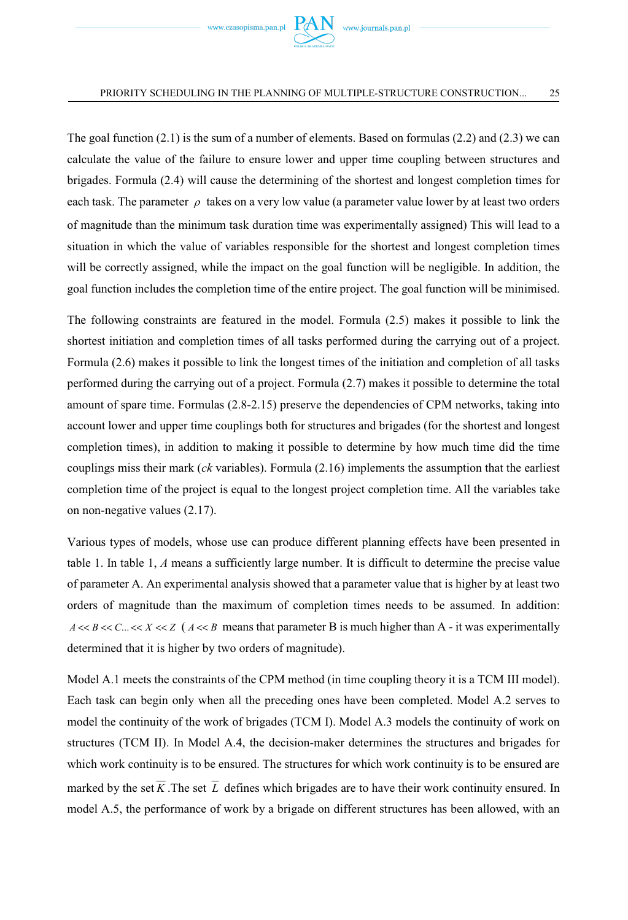

The goal function (2.1) is the sum of a number of elements. Based on formulas (2.2) and (2.3) we can calculate the value of the failure to ensure lower and upper time coupling between structures and brigades. Formula (2.4) will cause the determining of the shortest and longest completion times for each task. The parameter  $\rho$  takes on a very low value (a parameter value lower by at least two orders of magnitude than the minimum task duration time was experimentally assigned) This will lead to a situation in which the value of variables responsible for the shortest and longest completion times will be correctly assigned, while the impact on the goal function will be negligible. In addition, the goal function includes the completion time of the entire project. The goal function will be minimised.

The following constraints are featured in the model. Formula (2.5) makes it possible to link the shortest initiation and completion times of all tasks performed during the carrying out of a project. Formula (2.6) makes it possible to link the longest times of the initiation and completion of all tasks performed during the carrying out of a project. Formula (2.7) makes it possible to determine the total amount of spare time. Formulas (2.8-2.15) preserve the dependencies of CPM networks, taking into account lower and upper time couplings both for structures and brigades (for the shortest and longest completion times), in addition to making it possible to determine by how much time did the time couplings miss their mark (*ck* variables). Formula (2.16) implements the assumption that the earliest completion time of the project is equal to the longest project completion time. All the variables take on non-negative values (2.17).

Various types of models, whose use can produce different planning effects have been presented in table 1. In table 1, *A* means a sufficiently large number. It is difficult to determine the precise value of parameter A. An experimental analysis showed that a parameter value that is higher by at least two orders of magnitude than the maximum of completion times needs to be assumed. In addition:  $A \ll B \ll C$ ...  $\ll X \ll Z$  ( $A \ll B$  means that parameter B is much higher than A - it was experimentally determined that it is higher by two orders of magnitude).

Model A.1 meets the constraints of the CPM method (in time coupling theory it is a TCM III model). Each task can begin only when all the preceding ones have been completed. Model A.2 serves to model the continuity of the work of brigades (TCM I). Model A.3 models the continuity of work on structures (TCM II). In Model A.4, the decision-maker determines the structures and brigades for which work continuity is to be ensured. The structures for which work continuity is to be ensured are marked by the set  $\overline{K}$ . The set  $\overline{L}$  defines which brigades are to have their work continuity ensured. In model A.5, the performance of work by a brigade on different structures has been allowed, with an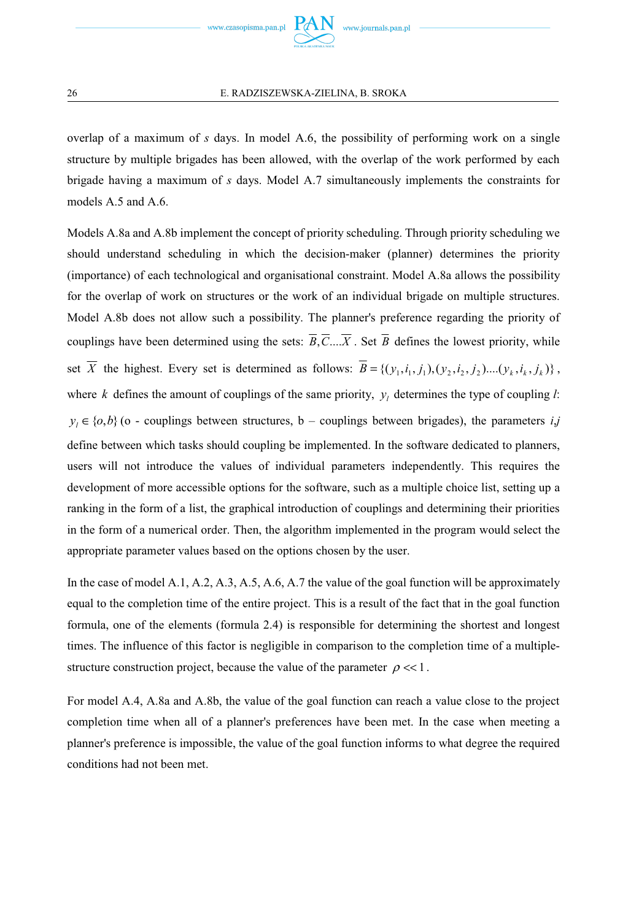overlap of a maximum of *s* days. In model A.6, the possibility of performing work on a single structure by multiple brigades has been allowed, with the overlap of the work performed by each brigade having a maximum of *s* days. Model A.7 simultaneously implements the constraints for models A.5 and A.6.

Models A.8a and A.8b implement the concept of priority scheduling. Through priority scheduling we should understand scheduling in which the decision-maker (planner) determines the priority (importance) of each technological and organisational constraint. Model A.8a allows the possibility for the overlap of work on structures or the work of an individual brigade on multiple structures. Model A.8b does not allow such a possibility. The planner's preference regarding the priority of couplings have been determined using the sets:  $\overline{B}$ , $\overline{C}$ .... $\overline{X}$ . Set  $\overline{B}$  defines the lowest priority, while set  $\overline{X}$  the highest. Every set is determined as follows:  $\overline{B} = \{(y_1, i_1, j_1), (y_2, i_2, j_2), ..., (y_k, i_k, j_k)\}\,$ where *k* defines the amount of couplings of the same priority,  $y_i$  determines the type of coupling *l*:  $y_i \in \{o,b\}$  (o - couplings between structures, b – couplings between brigades), the parameters *i*,*j* define between which tasks should coupling be implemented. In the software dedicated to planners, users will not introduce the values of individual parameters independently. This requires the development of more accessible options for the software, such as a multiple choice list, setting up a ranking in the form of a list, the graphical introduction of couplings and determining their priorities in the form of a numerical order. Then, the algorithm implemented in the program would select the appropriate parameter values based on the options chosen by the user.

In the case of model A.1, A.2, A.3, A.5, A.6, A.7 the value of the goal function will be approximately equal to the completion time of the entire project. This is a result of the fact that in the goal function formula, one of the elements (formula 2.4) is responsible for determining the shortest and longest times. The influence of this factor is negligible in comparison to the completion time of a multiplestructure construction project, because the value of the parameter  $\rho \ll 1$ .

For model A.4, A.8a and A.8b, the value of the goal function can reach a value close to the project completion time when all of a planner's preferences have been met. In the case when meeting a planner's preference is impossible, the value of the goal function informs to what degree the required conditions had not been met.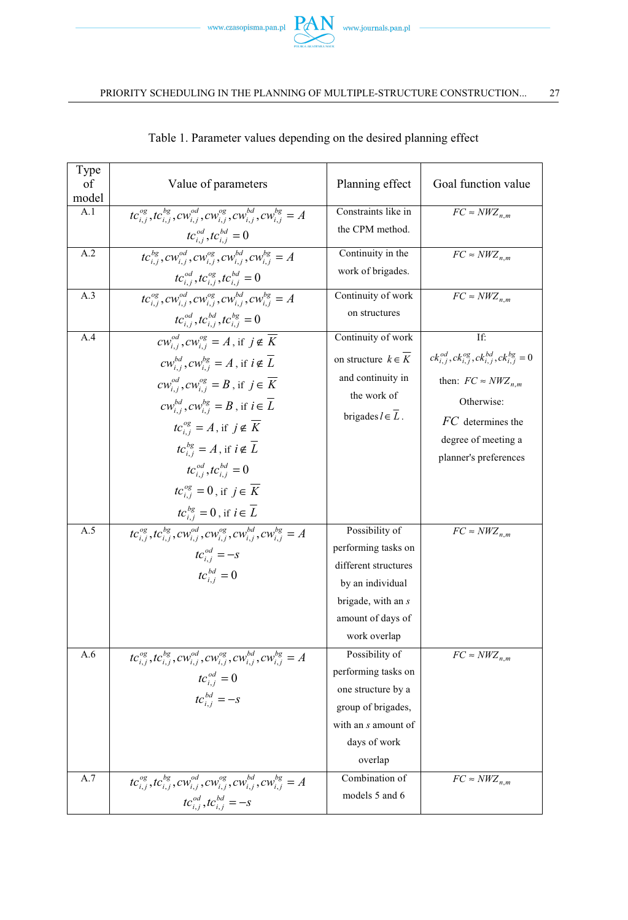

| Type<br>of<br>model | Value of parameters                                                                            | Planning effect                             | Goal function value                                              |
|---------------------|------------------------------------------------------------------------------------------------|---------------------------------------------|------------------------------------------------------------------|
| A.1                 | $tc_{i,i}^{og}, tc_{i,i}^{bg}, cw_{i,i}^{od}, cw_{i,i}^{og}, cw_{i,i}^{bd}, cw_{i,i}^{bg} = A$ | Constraints like in                         | $FC \approx NWZ_{n,m}$                                           |
|                     | $tc_{i,i}^{od}, tc_{i,i}^{bd} = 0$                                                             | the CPM method.                             |                                                                  |
| A.2                 | $\overline{tc_{i,j}^{bg}, cw_{i,j}^{od}, cw_{i,j}^{og}, cw_{i,j}^{bd}, cw_{i,j}^{bg}} = A$     | Continuity in the                           | $\overline{FC} \approx \overline{NWZ}_{n,m}$                     |
|                     | $tc_{i,i}^{od}, tc_{i,i}^{og}, tc_{i,i}^{bd} = 0$                                              | work of brigades.                           |                                                                  |
| A.3                 | $tc_{i,i}^{og}, cw_{i,i}^{od}, cw_{i,i}^{og}, cw_{i,i}^{bd}, cw_{i,i}^{bg} = A$                | Continuity of work                          | $\overline{FC} \approx \overline{N}WZ_{n,m}$                     |
|                     | $tc_{i,j}^{od}, tc_{i,j}^{bd}, tc_{i,j}^{bg} = 0$                                              | on structures                               |                                                                  |
| A.4                 | $\overline{cw_{i}^{od}, cw_{i}^{og}} = A$ , if $j \notin \overline{K}$                         | Continuity of work                          | If:                                                              |
|                     | $cw_{i,i}^{bd}$ , $cw_{i,i}^{bg} = A$ , if $i \notin \overline{L}$                             | on structure $k \in K$                      | $ck_{i,j}^{od}, ck_{i,j}^{og}, ck_{i,j}^{bd}, ck_{i,j}^{bg} = 0$ |
|                     | $cw_{i,j}^{od}$ , $cw_{i,j}^{og} = B$ , if $j \in \overline{K}$                                | and continuity in                           | then: $FC \approx NWZ_{n,m}$                                     |
|                     | $cw_{i,i}^{bd}$ , $cw_{i,i}^{bg} = B$ , if $i \in \overline{L}$                                | the work of                                 | Otherwise:                                                       |
|                     | $tc_{i,i}^{og} = A$ , if $j \notin \overline{K}$                                               | brigades $l \in L$ .                        | $FC$ determines the                                              |
|                     | $tc_{i,i}^{bg} = A$ , if $i \notin \overline{L}$                                               |                                             | degree of meeting a                                              |
|                     | $tc_{i,i}^{od}, tc_{i,i}^{bd} = 0$                                                             |                                             | planner's preferences                                            |
|                     |                                                                                                |                                             |                                                                  |
|                     | $tc_{i,i}^{og} = 0$ , if $j \in \overline{K}$                                                  |                                             |                                                                  |
|                     | $tc_{i,j}^{bg} = 0$ , if $i \in \overline{L}$                                                  |                                             |                                                                  |
| A.5                 | $tc_{i,j}^{og}, tc_{i,j}^{bg}, cw_{i,j}^{od}, cw_{i,j}^{og}, cw_{i,j}^{bd}, cw_{i,j}^{bg} = A$ | Possibility of                              | $\overline{FC} \approx \overline{N}WZ_{n,m}$                     |
|                     | $tc_{i,j}^{od} = -s$                                                                           | performing tasks on<br>different structures |                                                                  |
|                     | $tc_{i,i}^{bd} = 0$                                                                            | by an individual                            |                                                                  |
|                     |                                                                                                | brigade, with an s                          |                                                                  |
|                     |                                                                                                | amount of days of                           |                                                                  |
|                     |                                                                                                | work overlap                                |                                                                  |
| A.6                 | $tc_{i,j}^{og}, tc_{i,j}^{bg}, cw_{i,j}^{od}, cw_{i,j}^{og}, cw_{i,j}^{bd}, cw_{i,j}^{bg} = A$ | Possibility of                              | $\overline{FC} \approx \overline{N}WZ_{n,m}$                     |
|                     | $tc_{i,i}^{od} = 0$                                                                            | performing tasks on                         |                                                                  |
|                     | $tc_{i}^{bd} = -s$                                                                             | one structure by a                          |                                                                  |
|                     |                                                                                                | group of brigades,                          |                                                                  |
|                     |                                                                                                | with an s amount of                         |                                                                  |
|                     |                                                                                                | days of work                                |                                                                  |
|                     |                                                                                                | overlap                                     |                                                                  |
| A.7                 | $tc_{i,j}^{og}, tc_{i,j}^{bg}, cw_{i,j}^{od}, cw_{i,j}^{og}, cw_{i,j}^{bd}, cw_{i,j}^{bg} = A$ | Combination of                              | $FC \approx NWZ_{n,m}$                                           |
|                     | $tc_{i,j}^{od}, tc_{i,j}^{bd} = -s$                                                            | models 5 and 6                              |                                                                  |

## Table 1. Parameter values depending on the desired planning effect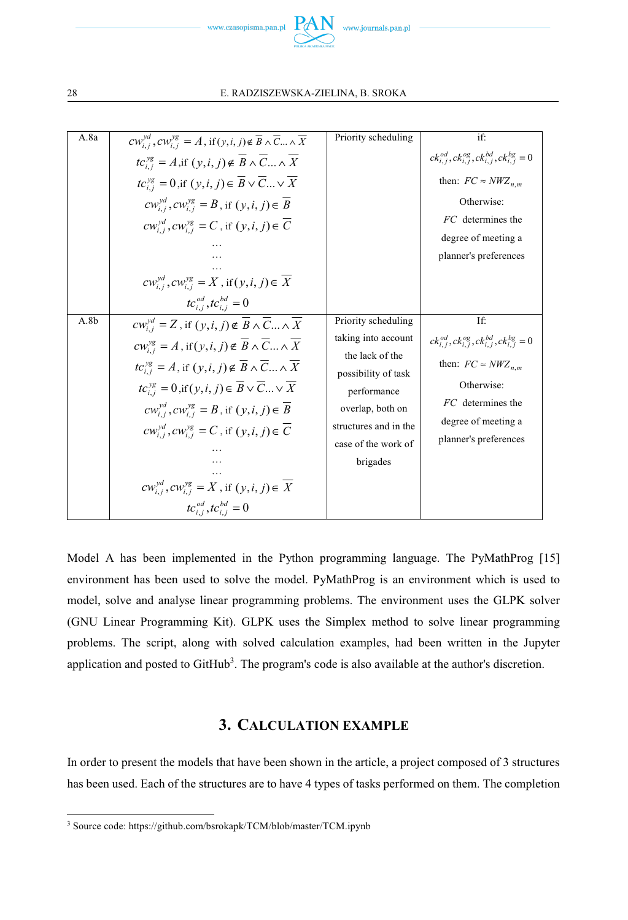

28 E. RADZISZEWSKA-ZIELINA, B. SROKA

| A.8a | $cw_{i,j}^{yd}$ , $cw_{i,j}^{yg} = A$ , if $(y, i, j) \notin \overline{B} \wedge \overline{C} \dots \wedge \overline{X}$ | Priority scheduling                    | if'                                                              |
|------|--------------------------------------------------------------------------------------------------------------------------|----------------------------------------|------------------------------------------------------------------|
|      | $tc_{i,j}^{yg} = A$ , if $(y, i, j) \notin \overline{B} \wedge \overline{C}  \wedge \overline{X}$                        |                                        | $ck_{i,j}^{od}, ck_{i,j}^{og}, ck_{i,j}^{bd}, ck_{i,j}^{bg} = 0$ |
|      | $tc_{i,j}^{yg} = 0$ , if $(y, i, j) \in \overline{B} \vee \overline{C}  \vee \overline{X}$                               |                                        | then: $FC \approx NWZ_{n,m}$                                     |
|      | $cw_{i,i}^{yd}$ , $cw_{i,i}^{yg} = B$ , if $(y, i, j) \in B$                                                             |                                        | Otherwise:                                                       |
|      | $cw_{i,j}^{yd}$ , $cw_{i,j}^{yg} = C$ , if $(y, i, j) \in \overline{C}$                                                  |                                        | FC determines the                                                |
|      |                                                                                                                          |                                        | degree of meeting a                                              |
|      |                                                                                                                          |                                        | planner's preferences                                            |
|      | $cw_{i,j}^{yd}$ , $cw_{i,j}^{yg} = X$ , if $(y, i, j) \in \overline{X}$                                                  |                                        |                                                                  |
|      | $tc_{i,i}^{od}, tc_{i,i}^{bd} = 0$                                                                                       |                                        |                                                                  |
| A.8b | $cw_{i,j}^{yd} = Z$ , if $(y, i, j) \notin \overline{B} \wedge \overline{C}  \wedge \overline{X}$                        | Priority scheduling                    | If:                                                              |
|      | $cw_{i,j}^{yg} = A$ , if $(y, i, j) \notin \overline{B} \wedge \overline{C}  \wedge \overline{X}$                        | taking into account                    | $ck_{i,j}^{od}, ck_{i,j}^{og}, ck_{i,j}^{bd}, ck_{i,j}^{bg} = 0$ |
|      | $tc_{i,j}^{yg} = A$ , if $(y, i, j) \notin \overline{B} \wedge \overline{C}  \wedge \overline{X}$                        | the lack of the<br>possibility of task | then: $FC \approx NWZ_{n,m}$                                     |
|      | $tc_{i,j}^{yg} = 0$ , if $(y, i, j) \in \overline{B} \vee \overline{C} \dots \vee \overline{X}$                          | performance                            | Otherwise:                                                       |
|      | $cw_{i,i}^{yd}$ , $cw_{i,j}^{yg} = B$ , if $(y, i, j) \in \overline{B}$                                                  | overlap, both on                       | FC determines the                                                |
|      | $cw_{i,i}^{yd}, cw_{i,i}^{yg} = C$ , if $(y, i, j) \in \overline{C}$                                                     | structures and in the                  | degree of meeting a<br>planner's preferences                     |
|      |                                                                                                                          | case of the work of                    |                                                                  |
|      |                                                                                                                          | brigades                               |                                                                  |
|      | $cw_{i,i}^{yd}$ , $cw_{i,i}^{yg} = X$ , if $(y, i, j) \in X$                                                             |                                        |                                                                  |
|      | $tc_{i.i}^{od}, tc_{i.i}^{bd} = 0$                                                                                       |                                        |                                                                  |

Model A has been implemented in the Python programming language. The PyMathProg [15] environment has been used to solve the model. PyMathProg is an environment which is used to model, solve and analyse linear programming problems. The environment uses the GLPK solver (GNU Linear Programming Kit). GLPK uses the Simplex method to solve linear programming problems. The script, along with solved calculation examples, had been written in the Jupyter application and posted to GitHub<sup>3</sup>. The program's code is also available at the author's discretion.

## **3. CALCULATION EXAMPLE**

In order to present the models that have been shown in the article, a project composed of 3 structures has been used. Each of the structures are to have 4 types of tasks performed on them. The completion

<sup>3</sup> Source code: https://github.com/bsrokapk/TCM/blob/master/TCM.ipynb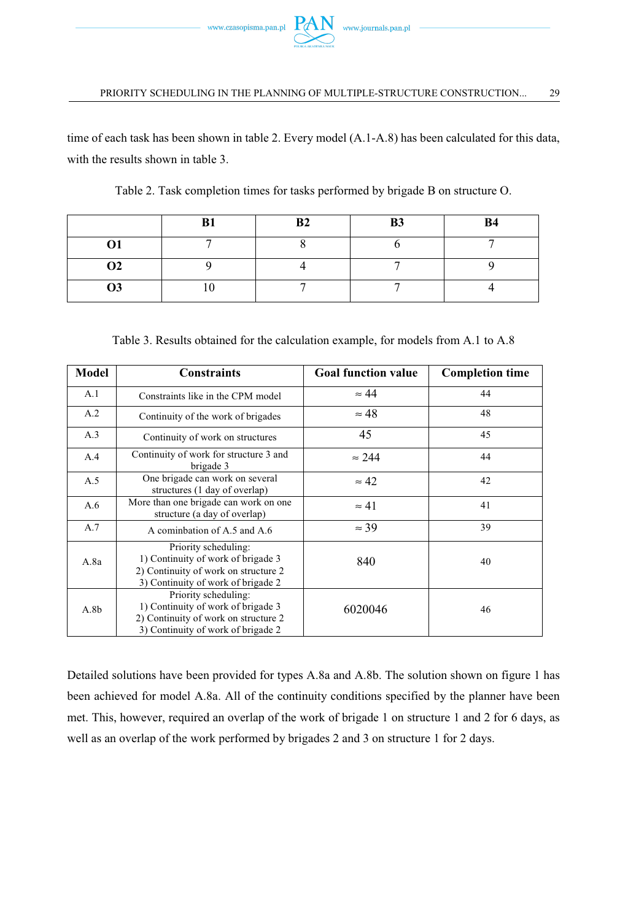

time of each task has been shown in table 2. Every model (A.1-A.8) has been calculated for this data, with the results shown in table 3.

|           | P <sub>1</sub><br>Dı | B <sub>2</sub> | <b>B3</b> | <b>B4</b> |
|-----------|----------------------|----------------|-----------|-----------|
| Ο1        |                      |                |           |           |
| <b>O2</b> |                      |                |           |           |
| Ο3        | ν                    |                |           |           |

Table 2. Task completion times for tasks performed by brigade B on structure O.

Table 3. Results obtained for the calculation example, for models from A.1 to A.8

| Model            | <b>Constraints</b>                                                                                                                       | <b>Goal function value</b> | <b>Completion time</b> |
|------------------|------------------------------------------------------------------------------------------------------------------------------------------|----------------------------|------------------------|
| A.1              | Constraints like in the CPM model                                                                                                        | $\approx 44$               | 44                     |
| A.2              | Continuity of the work of brigades                                                                                                       | $\approx 48$               | 48                     |
| A.3              | Continuity of work on structures                                                                                                         | 45                         | 45                     |
| A.4              | Continuity of work for structure 3 and<br>brigade 3                                                                                      | $\approx 244$              | 44                     |
| A.5              | One brigade can work on several<br>structures (1 day of overlap)                                                                         | $\approx 42$               | 42                     |
| A.6              | More than one brigade can work on one<br>structure (a day of overlap)                                                                    | $\approx 41$               | 41                     |
| A.7              | A cominhation of A.5 and A.6                                                                                                             | $\approx$ 39               | 39                     |
| A.8a             | Priority scheduling:<br>1) Continuity of work of brigade 3<br>2) Continuity of work on structure 2<br>3) Continuity of work of brigade 2 | 840                        | 40                     |
| A.8 <sub>b</sub> | Priority scheduling:<br>1) Continuity of work of brigade 3<br>2) Continuity of work on structure 2<br>3) Continuity of work of brigade 2 | 6020046                    | 46                     |

Detailed solutions have been provided for types A.8a and A.8b. The solution shown on figure 1 has been achieved for model A.8a. All of the continuity conditions specified by the planner have been met. This, however, required an overlap of the work of brigade 1 on structure 1 and 2 for 6 days, as well as an overlap of the work performed by brigades 2 and 3 on structure 1 for 2 days.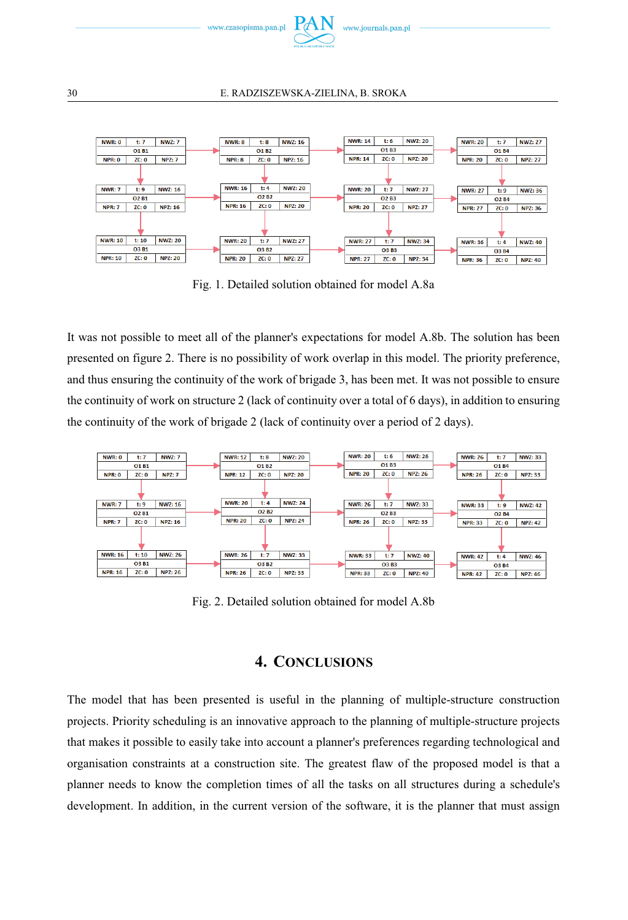



Fig. 1. Detailed solution obtained for model A.8a

It was not possible to meet all of the planner's expectations for model A.8b. The solution has been presented on figure 2. There is no possibility of work overlap in this model. The priority preference, and thus ensuring the continuity of the work of brigade 3, has been met. It was not possible to ensure the continuity of work on structure 2 (lack of continuity over a total of 6 days), in addition to ensuring the continuity of the work of brigade 2 (lack of continuity over a period of 2 days).



Fig. 2. Detailed solution obtained for model A.8b

## **4. CONCLUSIONS**

The model that has been presented is useful in the planning of multiple-structure construction projects. Priority scheduling is an innovative approach to the planning of multiple-structure projects that makes it possible to easily take into account a planner's preferences regarding technological and organisation constraints at a construction site. The greatest flaw of the proposed model is that a planner needs to know the completion times of all the tasks on all structures during a schedule's development. In addition, in the current version of the software, it is the planner that must assign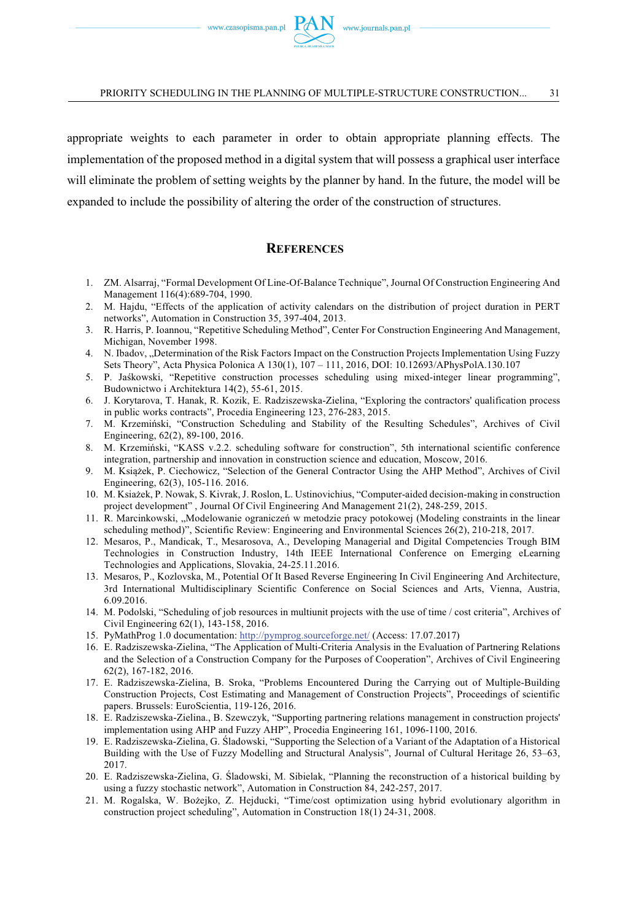appropriate weights to each parameter in order to obtain appropriate planning effects. The implementation of the proposed method in a digital system that will possess a graphical user interface will eliminate the problem of setting weights by the planner by hand. In the future, the model will be expanded to include the possibility of altering the order of the construction of structures.

## **REFERENCES**

- 1. ZM. Alsarraj, "Formal Development Of Line-Of-Balance Technique", Journal Of Construction Engineering And Management 116(4):689-704, 1990.
- 2. M. Hajdu, "Effects of the application of activity calendars on the distribution of project duration in PERT networks", Automation in Construction 35, 397-404, 2013.
- 3. R. Harris, P. Ioannou, "Repetitive Scheduling Method", Center For Construction Engineering And Management, Michigan, November 1998.
- 4. N. Ibadov, "Determination of the Risk Factors Impact on the Construction Projects Implementation Using Fuzzy Sets Theory", Acta Physica Polonica A 130(1), 107 – 111, 2016, DOI: 10.12693/APhysPolA.130.107
- 5. P. Jaśkowski, "Repetitive construction processes scheduling using mixed-integer linear programming", Budownictwo i Architektura 14(2), 55-61, 2015.
- 6. J. Korytarova, T. Hanak, R. Kozik, E. Radziszewska-Zielina, "Exploring the contractors' qualification process in public works contracts", Procedia Engineering 123, 276-283, 2015.
- 7. M. Krzemiski, "Construction Scheduling and Stability of the Resulting Schedules", Archives of Civil Engineering, 62(2), 89-100, 2016.
- 8. M. Krzemiski, "KASS v.2.2. scheduling software for construction", 5th international scientific conference integration, partnership and innovation in construction science and education, Moscow, 2016.
- 9. M. Książek, P. Ciechowicz, "Selection of the General Contractor Using the AHP Method", Archives of Civil Engineering, 62(3), 105-116. 2016.
- 10. M. Ksiaek, P. Nowak, S. Kivrak, J. Roslon, L. Ustinovichius, "Computer-aided decision-making in construction project development" , Journal Of Civil Engineering And Management 21(2), 248-259, 2015.
- 11. R. Marcinkowski, "Modelowanie ograniczeń w metodzie pracy potokowej (Modeling constraints in the linear scheduling method)", Scientific Review: Engineering and Environmental Sciences 26(2), 210-218, 2017.
- 12. Mesaros, P., Mandicak, T., Mesarosova, A., Developing Managerial and Digital Competencies Trough BIM Technologies in Construction Industry, 14th IEEE International Conference on Emerging eLearning Technologies and Applications, Slovakia, 24-25.11.2016.
- 13. Mesaros, P., Kozlovska, M., Potential Of It Based Reverse Engineering In Civil Engineering And Architecture, 3rd International Multidisciplinary Scientific Conference on Social Sciences and Arts, Vienna, Austria, 6.09.2016.
- 14. M. Podolski, "Scheduling of job resources in multiunit projects with the use of time / cost criteria", Archives of Civil Engineering 62(1), 143-158, 2016.
- 15. PyMathProg 1.0 documentation: http://pymprog.sourceforge.net/ (Access: 17.07.2017)
- 16. E. Radziszewska-Zielina, "The Application of Multi-Criteria Analysis in the Evaluation of Partnering Relations and the Selection of a Construction Company for the Purposes of Cooperation", Archives of Civil Engineering 62(2), 167-182, 2016.
- 17. E. Radziszewska-Zielina, B. Sroka, "Problems Encountered During the Carrying out of Multiple-Building Construction Projects, Cost Estimating and Management of Construction Projects", Proceedings of scientific papers. Brussels: EuroScientia, 119-126, 2016.
- 18. E. Radziszewska-Zielina., B. Szewczyk, "Supporting partnering relations management in construction projects' implementation using AHP and Fuzzy AHP", Procedia Engineering 161, 1096-1100, 2016.
- 19. E. Radziszewska-Zielina, G. ladowski, "Supporting the Selection of a Variant of the Adaptation of a Historical Building with the Use of Fuzzy Modelling and Structural Analysis", Journal of Cultural Heritage 26, 53–63, 2017.
- 20. E. Radziszewska-Zielina, G. Śladowski, M. Sibielak, "Planning the reconstruction of a historical building by using a fuzzy stochastic network", Automation in Construction 84, 242-257, 2017.
- 21. M. Rogalska, W. Bożejko, Z. Hejducki, "Time/cost optimization using hybrid evolutionary algorithm in construction project scheduling", Automation in Construction 18(1) 24-31, 2008.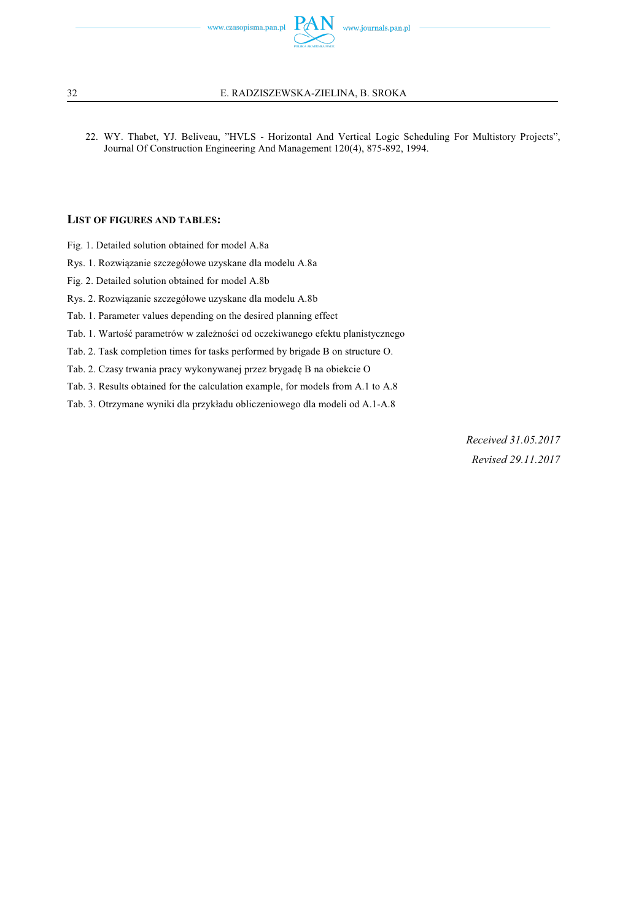

### 32 E. RADZISZEWSKA-ZIELINA, B. SROKA

22. WY. Thabet, YJ. Beliveau, "HVLS - Horizontal And Vertical Logic Scheduling For Multistory Projects", Journal Of Construction Engineering And Management 120(4), 875-892, 1994.

### **LIST OF FIGURES AND TABLES:**

- Fig. 1. Detailed solution obtained for model A.8a
- Rys. 1. Rozwizanie szczegółowe uzyskane dla modelu A.8a
- Fig. 2. Detailed solution obtained for model A.8b
- Rys. 2. Rozwizanie szczegółowe uzyskane dla modelu A.8b
- Tab. 1. Parameter values depending on the desired planning effect
- Tab. 1. Wartość parametrów w zależności od oczekiwanego efektu planistycznego
- Tab. 2. Task completion times for tasks performed by brigade B on structure O.
- Tab. 2. Czasy trwania pracy wykonywanej przez brygadę B na obiekcie O
- Tab. 3. Results obtained for the calculation example, for models from A.1 to A.8
- Tab. 3. Otrzymane wyniki dla przykładu obliczeniowego dla modeli od A.1-A.8

*Received 31.05.2017 Revised 29.11.2017*